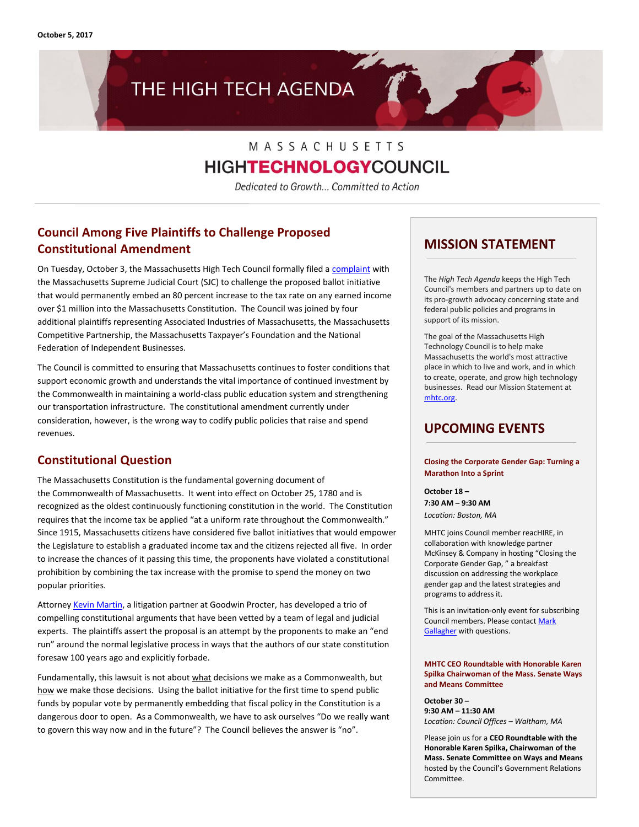**October 5, 2017**

# THE HIGH TECH AGENDA

## MASSACHUSETTS **HIGHTECHNOLOGY**COUNCIL

Dedicated to Growth... Committed to Action

## **Council Among Five Plaintiffs to Challenge Proposed Constitutional Amendment**

On Tuesday, October 3, the Massachusetts High Tech Council formally filed [a complaint](http://www.mhtc.org/wp-content/uploads/2017/10/MHTC-Complaint-Final.pdf) with the Massachusetts Supreme Judicial Court (SJC) to challenge the proposed ballot initiative that would permanently embed an 80 percent increase to the tax rate on any earned income over \$1 million into the Massachusetts Constitution. The Council was joined by four additional plaintiffs representing Associated Industries of Massachusetts, the Massachusetts Competitive Partnership, the Massachusetts Taxpayer's Foundation and the National Federation of Independent Businesses.

The Council is committed to ensuring that Massachusetts continues to foster conditions that support economic growth and understands the vital importance of continued investment by the Commonwealth in maintaining a world-class public education system and strengthening our transportation infrastructure. The constitutional amendment currently under consideration, however, is the wrong way to codify public policies that raise and spend revenues.

### **Constitutional Question**

The Massachusetts Constitution is the fundamental governing document of the Commonwealth of Massachusetts. It went into effect on October 25, 1780 and is recognized as the oldest continuously functioning constitution in the world. The Constitution requires that the income tax be applied "at a uniform rate throughout the Commonwealth." Since 1915, Massachusetts citizens have considered five ballot initiatives that would empower the Legislature to establish a graduated income tax and the citizens rejected all five. In order to increase the chances of it passing this time, the proponents have violated a constitutional prohibition by combining the tax increase with the promise to spend the money on two popular priorities.

Attorne[y Kevin Martin,](https://www.goodwinlaw.com/professionals/m/martin-kevin) a litigation partner at Goodwin Procter, has developed a trio of compelling constitutional arguments that have been vetted by a team of legal and judicial experts. The plaintiffs assert the proposal is an attempt by the proponents to make an "end run" around the normal legislative process in ways that the authors of our state constitution foresaw 100 years ago and explicitly forbade.

Fundamentally, this lawsuit is not about what decisions we make as a Commonwealth, but how we make those decisions. Using the ballot initiative for the first time to spend public funds by popular vote by permanently embedding that fiscal policy in the Constitution is a dangerous door to open. As a Commonwealth, we have to ask ourselves "Do we really want to govern this way now and in the future"? The Council believes the answer is "no".

### **MISSION STATEMENT**

The *High Tech Agenda* keeps the High Tech Council's members and partners up to date on its pro-growth advocacy concerning state and federal public policies and programs in support of its mission.

The goal of the Massachusetts High Technology Council is to help make Massachusetts the world's most attractive place in which to live and work, and in which to create, operate, and grow high technology businesses. Read our Mission Statement at [mhtc.org.](http://www.mhtc.org/)

## **UPCOMING EVENTS**

#### **Closing the Corporate Gender Gap: Turning a Marathon Into a Sprint**

**October 18 – 7:30 AM – 9:30 AM** *Location: Boston, MA*

MHTC joins Council member reacHIRE, in collaboration with knowledge partner McKinsey & Company in hosting "Closing the Corporate Gender Gap, " a breakfast discussion on addressing the workplace gender gap and the latest strategies and programs to address it.

This is an invitation-only event for subscribing Council members. Please contac[t Mark](http://mail%20to:mark@mhtc.org/) [Gallagher](http://mail%20to:mark@mhtc.org/) with questions.

#### **MHTC CEO Roundtable with Honorable Karen Spilka Chairwoman of the Mass. Senate Ways and Means Committee**

**October 30 – 9:30 AM – 11:30 AM** *Location: Council Offices – Waltham, MA*

Please join us for a **CEO Roundtable with the Honorable Karen Spilka, Chairwoman of the Mass. Senate Committee on Ways and Means** hosted by the Council's Government Relations Committee.